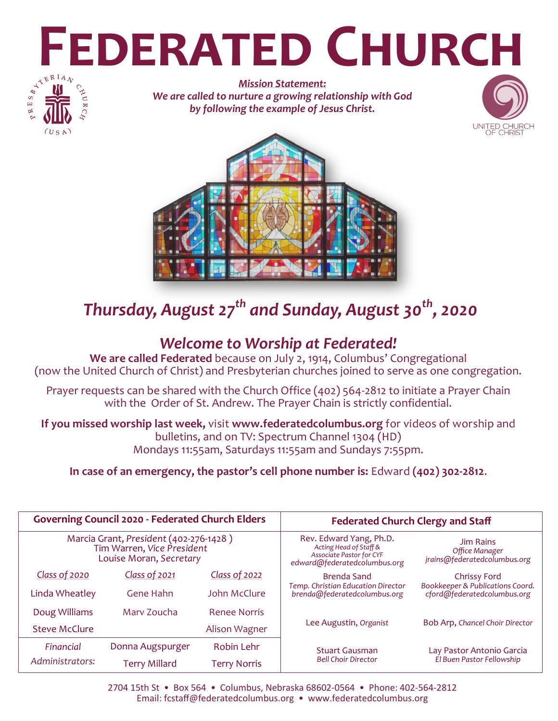# **FEDERATED CHURCH**



*Mission Statement: We are called to nurture a growing relationship with God by following the example of Jesus Christ.*





# *Thursday, August 27th and Sunday, August 30th, 2020*

# *Welcome to Worship at Federated!*

**We are called Federated** because on July 2, 1914, Columbus' Congregational (now the United Church of Christ) and Presbyterian churches joined to serve as one congregation.

Prayer requests can be shared with the Church Office (402) 564-2812 to initiate a Prayer Chain with the Order of St. Andrew. The Prayer Chain is strictly confidential.

**If you missed worship last week,** visit **www.federatedcolumbus.org** for videos of worship and bulletins, and on TV: Spectrum Channel 1304 (HD) Mondays 11:55am, Saturdays 11:55am and Sundays 7:55pm.

**In case of an emergency, the pastor's cell phone number is:** Edward **(402) 302-2812**.

| <b>Governing Council 2020 - Federated Church Elders</b>                                         |                      |                     | <b>Federated Church Clergy and Staff</b>                                                                      |                                                                    |
|-------------------------------------------------------------------------------------------------|----------------------|---------------------|---------------------------------------------------------------------------------------------------------------|--------------------------------------------------------------------|
| Marcia Grant, President (402-276-1428)<br>Tim Warren, Vice President<br>Louise Moran, Secretary |                      |                     | Rev. Edward Yang, Ph.D.<br>Acting Head of Staff &<br>Associate Pastor for CYF<br>edward@federatedcolumbus.org | <b>Jim Rains</b><br>Office Manager<br>jrains@federatedcolumbus.org |
| Class of 2020                                                                                   | Class of 2021        | Class of 2022       | <b>Brenda Sand</b>                                                                                            | <b>Chrissy Ford</b>                                                |
| Linda Wheatley                                                                                  | Gene Hahn            | John McClure        | Temp. Christian Education Director<br>brenda@federatedcolumbus.org                                            | Bookkeeper & Publications Coord.<br>cford@federatedcolumbus.org    |
| Doug Williams                                                                                   | Mary Zoucha          | <b>Renee Norris</b> |                                                                                                               |                                                                    |
| <b>Steve McClure</b>                                                                            |                      | Alison Wagner       | Lee Augustin, Organist                                                                                        | Bob Arp, Chancel Choir Director                                    |
| Financial                                                                                       | Donna Augspurger     | Robin Lehr          | <b>Stuart Gausman</b><br><b>Bell Choir Director</b>                                                           | Lay Pastor Antonio Garcia                                          |
| Administrators:                                                                                 | <b>Terry Millard</b> | <b>Terry Norris</b> |                                                                                                               | El Buen Pastor Fellowship                                          |

2704 15th St • Box 564 • Columbus, Nebraska 68602-0564 • Phone: 402-564-2812 Email: fcstaff@federatedcolumbus.org • www.federatedcolumbus.org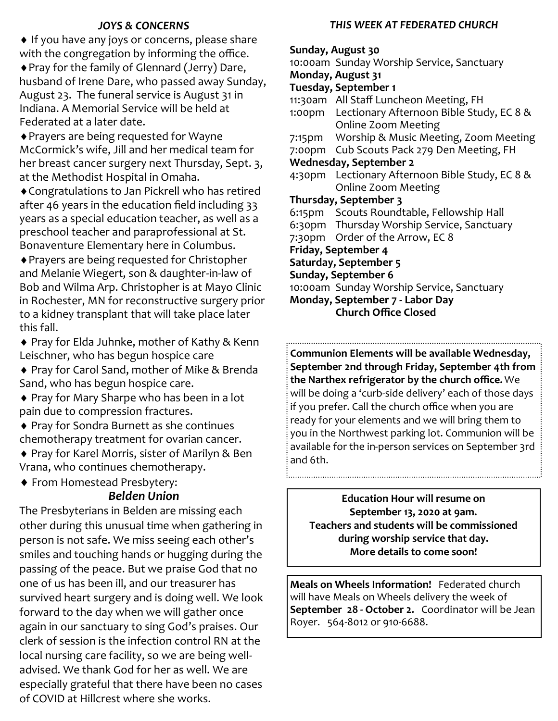### *JOYS & CONCERNS*

♦ If you have any joys or concerns, please share with the congregation by informing the office.

Pray for the family of Glennard (Jerry) Dare, husband of Irene Dare, who passed away Sunday, August 23. The funeral service is August 31 in Indiana. A Memorial Service will be held at Federated at a later date.

Prayers are being requested for Wayne McCormick's wife, Jill and her medical team for her breast cancer surgery next Thursday, Sept. 3, at the Methodist Hospital in Omaha.

Congratulations to Jan Pickrell who has retired after 46 years in the education field including 33 years as a special education teacher, as well as a preschool teacher and paraprofessional at St. Bonaventure Elementary here in Columbus.

Prayers are being requested for Christopher and Melanie Wiegert, son & daughter-in-law of Bob and Wilma Arp. Christopher is at Mayo Clinic in Rochester, MN for reconstructive surgery prior to a kidney transplant that will take place later this fall.

◆ Pray for Elda Juhnke, mother of Kathy & Kenn Leischner, who has begun hospice care

◆ Pray for Carol Sand, mother of Mike & Brenda Sand, who has begun hospice care.

◆ Pray for Mary Sharpe who has been in a lot pain due to compression fractures.

 Pray for Sondra Burnett as she continues chemotherapy treatment for ovarian cancer.

◆ Pray for Karel Morris, sister of Marilyn & Ben Vrana, who continues chemotherapy.

 From Homestead Presbytery: *Belden Union*

The Presbyterians in Belden are missing each other during this unusual time when gathering in person is not safe. We miss seeing each other's smiles and touching hands or hugging during the passing of the peace. But we praise God that no one of us has been ill, and our treasurer has survived heart surgery and is doing well. We look forward to the day when we will gather once again in our sanctuary to sing God's praises. Our clerk of session is the infection control RN at the local nursing care facility, so we are being welladvised. We thank God for her as well. We are especially grateful that there have been no cases of COVID at Hillcrest where she works.

### *THIS WEEK AT FEDERATED CHURCH*

### **Sunday, August 30**

10:00am Sunday Worship Service, Sanctuary **Monday, August 31 Tuesday, September 1** 11:30am All Staff Luncheon Meeting, FH 1:00pm Lectionary Afternoon Bible Study, EC 8 & Online Zoom Meeting 7:15pm Worship & Music Meeting, Zoom Meeting 7:00pm Cub Scouts Pack 279 Den Meeting, FH **Wednesday, September 2** 4:30pm Lectionary Afternoon Bible Study, EC 8 & Online Zoom Meeting **Thursday, September 3** 6:15pm Scouts Roundtable, Fellowship Hall 6:30pm Thursday Worship Service, Sanctuary 7:30pm Order of the Arrow, EC 8 **Friday, September 4 Saturday, September 5 Sunday, September 6** 10:00am Sunday Worship Service, Sanctuary **Monday, September 7 - Labor Day** 

**Church Office Closed**

**Communion Elements will be available Wednesday, September 2nd through Friday, September 4th from the Narthex refrigerator by the church office.** We will be doing a 'curb-side delivery' each of those days if you prefer. Call the church office when you are ready for your elements and we will bring them to you in the Northwest parking lot. Communion will be available for the in-person services on September 3rd and 6th.

**Education Hour will resume on September 13, 2020 at 9am. Teachers and students will be commissioned during worship service that day. More details to come soon!** 

**Meals on Wheels Information!** Federated church will have Meals on Wheels delivery the week of **September 28 - October 2.** Coordinator will be Jean Royer. 564-8012 or 910-6688.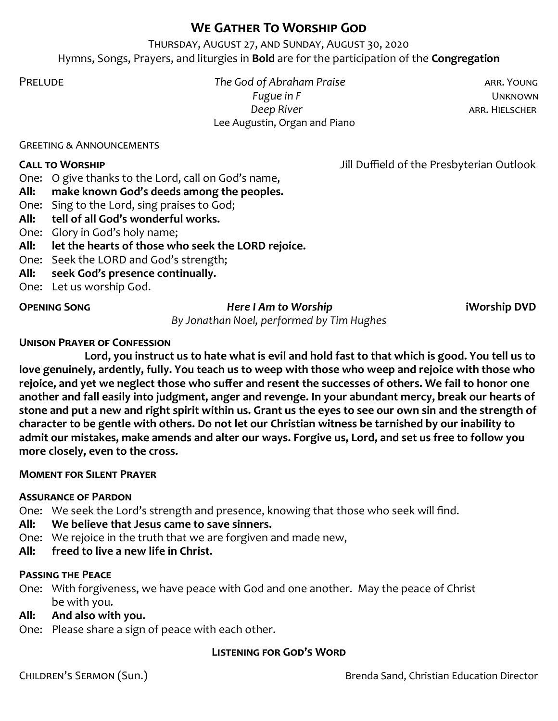## **We Gather To Worship God**

Thursday, August 27, and Sunday, August 30, 2020 Hymns, Songs, Prayers, and liturgies in **Bold** are for the participation of the **Congregation**

Prelude *The God of Abraham Praise* arr. Young  *Fugue in F* Unknown  *Deep River* arr. Hielscher Lee Augustin, Organ and Piano

Greeting & Announcements

**Call to Worship** Jill Duffield of the Presbyterian Outlook

One: O give thanks to the Lord, call on God's name,

- **All: make known God's deeds among the peoples.**
- One: Sing to the Lord, sing praises to God;
- **All: tell of all God's wonderful works.**
- One: Glory in God's holy name;
- **All: let the hearts of those who seek the LORD rejoice.**
- One: Seek the LORD and God's strength;
- **All: seek God's presence continually.**
- One: Let us worship God.

### **Opening Song** *Here I Am to Worship* **iWorship DVD**

*By Jonathan Noel, performed by Tim Hughes*

### **Unison Prayer of Confession**

**Lord, you instruct us to hate what is evil and hold fast to that which is good. You tell us to love genuinely, ardently, fully. You teach us to weep with those who weep and rejoice with those who rejoice, and yet we neglect those who suffer and resent the successes of others. We fail to honor one another and fall easily into judgment, anger and revenge. In your abundant mercy, break our hearts of stone and put a new and right spirit within us. Grant us the eyes to see our own sin and the strength of character to be gentle with others. Do not let our Christian witness be tarnished by our inability to admit our mistakes, make amends and alter our ways. Forgive us, Lord, and set us free to follow you more closely, even to the cross.** 

### **Moment for Silent Prayer**

### **Assurance of Pardon**

One: We seek the Lord's strength and presence, knowing that those who seek will find.

- **All: We believe that Jesus came to save sinners.**
- One: We rejoice in the truth that we are forgiven and made new,
- **All: freed to live a new life in Christ.**

### **Passing the Peace**

One: With forgiveness, we have peace with God and one another. May the peace of Christ be with you.

### **All: And also with you.**

One: Please share a sign of peace with each other.

### **Listening for God's Word**